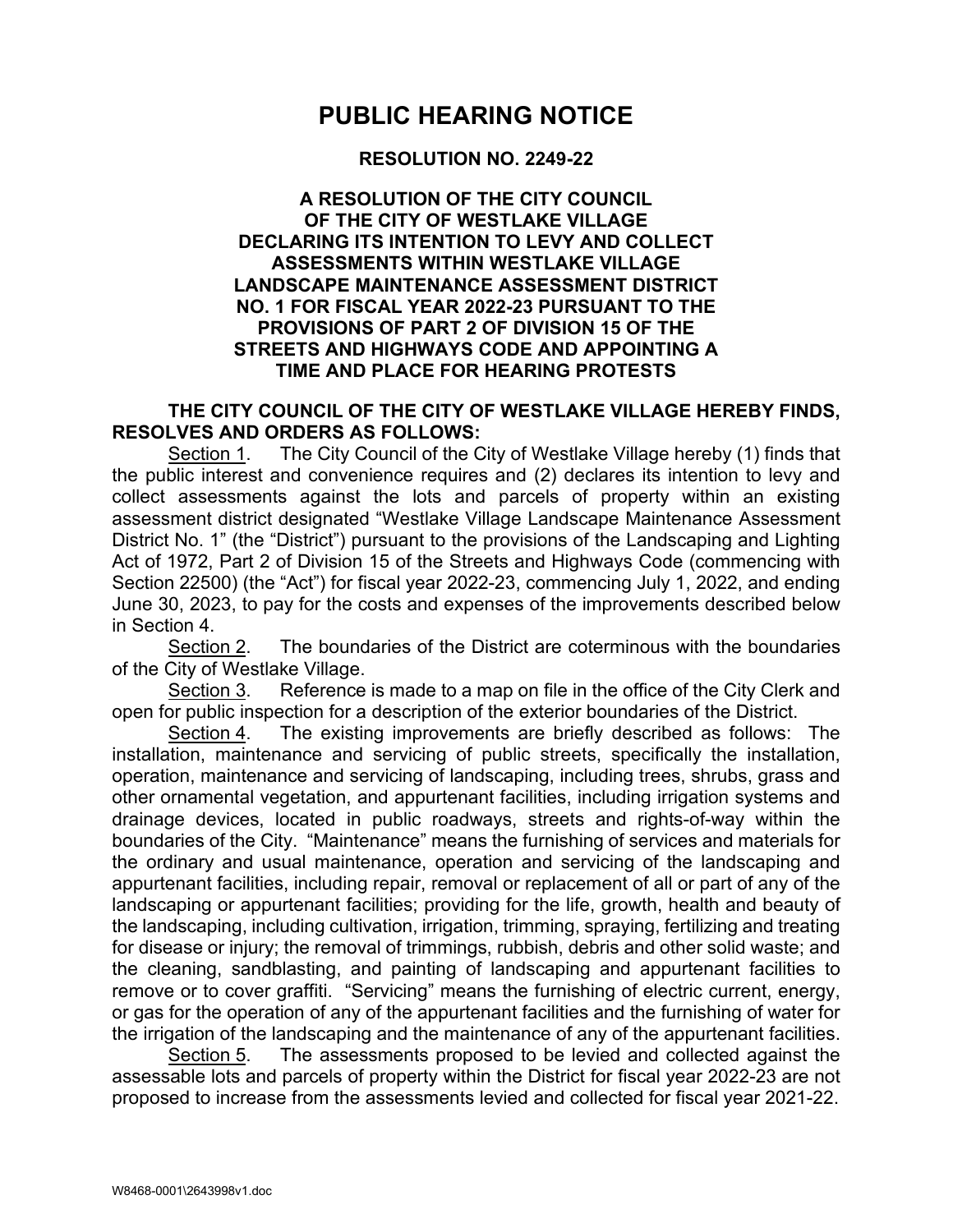## **PUBLIC HEARING NOTICE**

## **RESOLUTION NO. 2249-22**

## **A RESOLUTION OF THE CITY COUNCIL OF THE CITY OF WESTLAKE VILLAGE DECLARING ITS INTENTION TO LEVY AND COLLECT ASSESSMENTS WITHIN WESTLAKE VILLAGE LANDSCAPE MAINTENANCE ASSESSMENT DISTRICT NO. 1 FOR FISCAL YEAR 2022-23 PURSUANT TO THE PROVISIONS OF PART 2 OF DIVISION 15 OF THE STREETS AND HIGHWAYS CODE AND APPOINTING A TIME AND PLACE FOR HEARING PROTESTS**

## **THE CITY COUNCIL OF THE CITY OF WESTLAKE VILLAGE HEREBY FINDS, RESOLVES AND ORDERS AS FOLLOWS:**

Section 1. The City Council of the City of Westlake Village hereby (1) finds that the public interest and convenience requires and (2) declares its intention to levy and collect assessments against the lots and parcels of property within an existing assessment district designated "Westlake Village Landscape Maintenance Assessment District No. 1" (the "District") pursuant to the provisions of the Landscaping and Lighting Act of 1972, Part 2 of Division 15 of the Streets and Highways Code (commencing with Section 22500) (the "Act") for fiscal year 2022-23, commencing July 1, 2022, and ending June 30, 2023, to pay for the costs and expenses of the improvements described below in Section 4.

Section 2. The boundaries of the District are coterminous with the boundaries of the City of Westlake Village.

Section 3. Reference is made to a map on file in the office of the City Clerk and open for public inspection for a description of the exterior boundaries of the District.

Section 4. The existing improvements are briefly described as follows: The installation, maintenance and servicing of public streets, specifically the installation, operation, maintenance and servicing of landscaping, including trees, shrubs, grass and other ornamental vegetation, and appurtenant facilities, including irrigation systems and drainage devices, located in public roadways, streets and rights-of-way within the boundaries of the City. "Maintenance" means the furnishing of services and materials for the ordinary and usual maintenance, operation and servicing of the landscaping and appurtenant facilities, including repair, removal or replacement of all or part of any of the landscaping or appurtenant facilities; providing for the life, growth, health and beauty of the landscaping, including cultivation, irrigation, trimming, spraying, fertilizing and treating for disease or injury; the removal of trimmings, rubbish, debris and other solid waste; and the cleaning, sandblasting, and painting of landscaping and appurtenant facilities to remove or to cover graffiti. "Servicing" means the furnishing of electric current, energy, or gas for the operation of any of the appurtenant facilities and the furnishing of water for the irrigation of the landscaping and the maintenance of any of the appurtenant facilities.

Section 5. The assessments proposed to be levied and collected against the assessable lots and parcels of property within the District for fiscal year 2022-23 are not proposed to increase from the assessments levied and collected for fiscal year 2021-22.